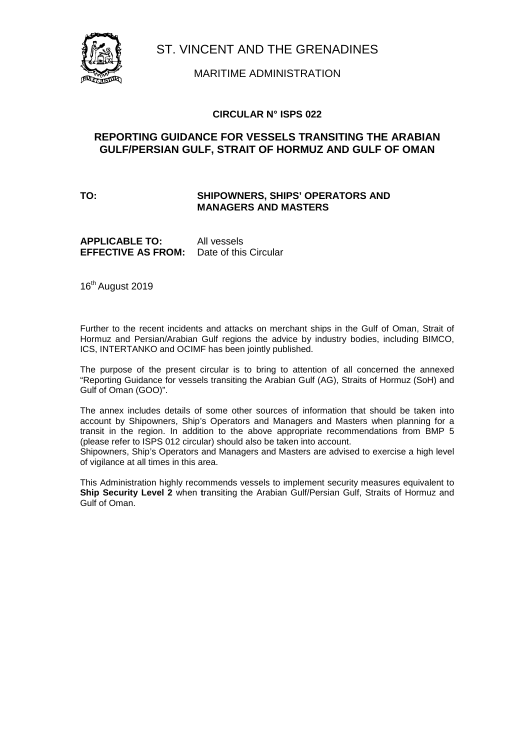

MARITIME ADMINISTRATION

## **CIRCULAR N° ISPS 022**

# **REPORTING GUIDANCE FOR VESSELS TRANSITING THE ARABIAN GULF/PERSIAN GULF, STRAIT OF HORMUZ AND GULF OF OMAN**

### **TO: SHIPOWNERS, SHIPS' OPERATORS AND MANAGERS AND MASTERS**

**APPLICABLE TO:** All vessels **EFFECTIVE AS FROM:** Date of this Circular

16<sup>th</sup> August 2019

Further to the recent incidents and attacks on merchant ships in the Gulf of Oman, Strait of Hormuz and Persian/Arabian Gulf regions the advice by industry bodies, including BIMCO, ICS, INTERTANKO and OCIMF has been jointly published.

The purpose of the present circular is to bring to attention of all concerned the annexed "Reporting Guidance for vessels transiting the Arabian Gulf (AG), Straits of Hormuz (SoH) and Gulf of Oman (GOO)".

The annex includes details of some other sources of information that should be taken into account by Shipowners, Ship's Operators and Managers and Masters when planning for a transit in the region. In addition to the above appropriate recommendations from BMP 5 (please refer to ISPS 012 circular) should also be taken into account.

Shipowners, Ship's Operators and Managers and Masters are advised to exercise a high level of vigilance at all times in this area.

This Administration highly recommends vessels to implement security measures equivalent to **Ship Security Level 2** when **t**ransiting the Arabian Gulf/Persian Gulf, Straits of Hormuz and Gulf of Oman.